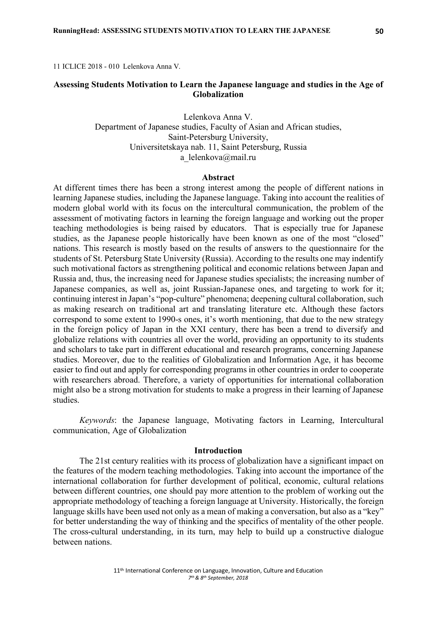11 ICLICE 2018 - 010 Lelenkova Anna V.

# **Assessing Students Motivation to Learn the Japanese language and studies in the Age of Globalization**

Lelenkova Anna V. Department of Japanese studies, Faculty of Asian and African studies, Saint-Petersburg University, Universitetskaya nab. 11, Saint Petersburg, Russia a lelenkova@mail.ru

### **Abstract**

At different times there has been a strong interest among the people of different nations in learning Japanese studies, including the Japanese language. Taking into account the realities of modern global world with its focus on the intercultural communication, the problem of the assessment of motivating factors in learning the foreign language and working out the proper teaching methodologies is being raised by educators. That is especially true for Japanese studies, as the Japanese people historically have been known as one of the most "closed" nations. This research is mostly based on the results of answers to the questionnaire for the students of St. Petersburg State University (Russia). According to the results one may indentify such motivational factors as strengthening political and economic relations between Japan and Russia and, thus, the increasing need for Japanese studies specialists; the increasing number of Japanese companies, as well as, joint Russian-Japanese ones, and targeting to work for it; continuing interest in Japan's "pop-culture" phenomena; deepening cultural collaboration, such as making research on traditional art and translating literature etc. Although these factors correspond to some extent to 1990-s ones, it's worth mentioning, that due to the new strategy in the foreign policy of Japan in the XXI century, there has been a trend to diversify and globalize relations with countries all over the world, providing an opportunity to its students and scholars to take part in different educational and research programs, concerning Japanese studies. Moreover, due to the realities of Globalization and Information Age, it has become easier to find out and apply for corresponding programs in other countries in order to cooperate with researchers abroad. Therefore, a variety of opportunities for international collaboration might also be a strong motivation for students to make a progress in their learning of Japanese studies.

*Keywords*: the Japanese language, Motivating factors in Learning, Intercultural communication, Age of Globalization

#### **Introduction**

The 21st century realities with its process of globalization have a significant impact on the features of the modern teaching methodologies. Taking into account the importance of the international collaboration for further development of political, economic, cultural relations between different countries, one should pay more attention to the problem of working out the appropriate methodology of teaching a foreign language at University. Historically, the foreign language skills have been used not only as a mean of making a conversation, but also as a "key" for better understanding the way of thinking and the specifics of mentality of the other people. The cross-cultural understanding, in its turn, may help to build up a constructive dialogue between nations.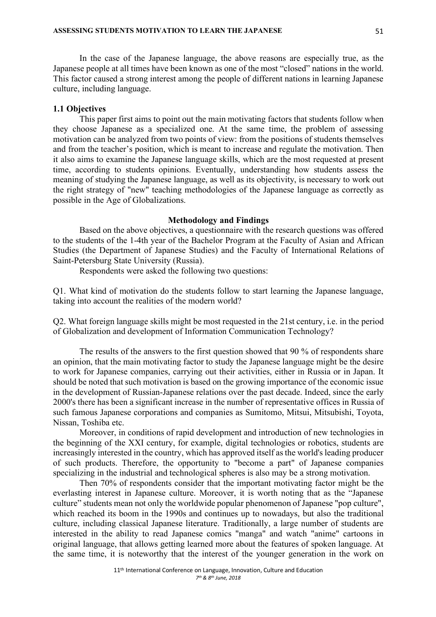In the case of the Japanese language, the above reasons are especially true, as the Japanese people at all times have been known as one of the most "closed" nations in the world. This factor caused a strong interest among the people of different nations in learning Japanese culture, including language.

## **1.1 Objectives**

This paper first aims to point out the main motivating factors that students follow when they choose Japanese as a specialized one. At the same time, the problem of assessing motivation can be analyzed from two points of view: from the positions of students themselves and from the teacher's position, which is meant to increase and regulate the motivation. Then it also aims to examine the Japanese language skills, which are the most requested at present time, according to students opinions. Eventually, understanding how students assess the meaning of studying the Japanese language, as well as its objectivity, is necessary to work out the right strategy of "new" teaching methodologies of the Japanese language as correctly as possible in the Age of Globalizations.

## **Methodology and Findings**

Based on the above objectives, a questionnaire with the research questions was offered to the students of the 1-4th year of the Bachelor Program at the Faculty of Asian and African Studies (the Department of Japanese Studies) and the Faculty of International Relations of Saint-Petersburg State University (Russia).

Respondents were asked the following two questions:

Q1. What kind of motivation do the students follow to start learning the Japanese language, taking into account the realities of the modern world?

Q2. What foreign language skills might be most requested in the 21st century, i.e. in the period of Globalization and development of Information Communication Technology?

The results of the answers to the first question showed that 90 % of respondents share an opinion, that the main motivating factor to study the Japanese language might be the desire to work for Japanese companies, carrying out their activities, either in Russia or in Japan. It should be noted that such motivation is based on the growing importance of the economic issue in the development of Russian-Japanese relations over the past decade. Indeed, since the early 2000's there has been a significant increase in the number of representative offices in Russia of such famous Japanese corporations and companies as Sumitomo, Mitsui, Mitsubishi, Toyota, Nissan, Toshiba etc.

Moreover, in conditions of rapid development and introduction of new technologies in the beginning of the XXI century, for example, digital technologies or robotics, students are increasingly interested in the country, which has approved itself as the world's leading producer of such products. Therefore, the opportunity to "become a part" of Japanese companies specializing in the industrial and technological spheres is also may be a strong motivation.

Then 70% of respondents consider that the important motivating factor might be the everlasting interest in Japanese culture. Moreover, it is worth noting that as the "Japanese culture" students mean not only the worldwide popular phenomenon of Japanese "pop culture", which reached its boom in the 1990s and continues up to nowadays, but also the traditional culture, including classical Japanese literature. Traditionally, a large number of students are interested in the ability to read Japanese comics "manga" and watch "anime" cartoons in original language, that allows getting learned more about the features of spoken language. At the same time, it is noteworthy that the interest of the younger generation in the work on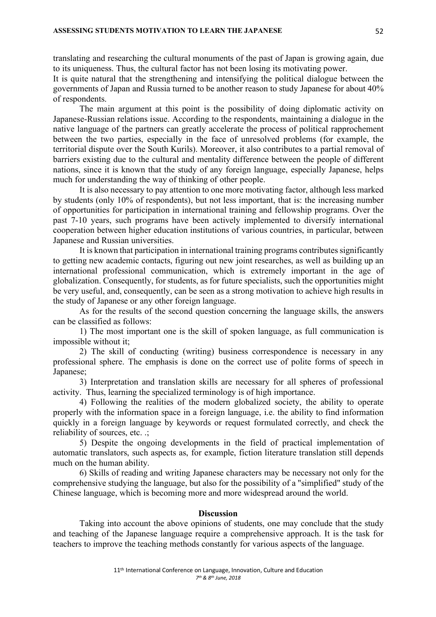translating and researching the cultural monuments of the past of Japan is growing again, due to its uniqueness. Thus, the cultural factor has not been losing its motivating power.

It is quite natural that the strengthening and intensifying the political dialogue between the governments of Japan and Russia turned to be another reason to study Japanese for about 40% of respondents.

The main argument at this point is the possibility of doing diplomatic activity on Japanese-Russian relations issue. According to the respondents, maintaining a dialogue in the native language of the partners can greatly accelerate the process of political rapprochement between the two parties, especially in the face of unresolved problems (for example, the territorial dispute over the South Kurils). Moreover, it also contributes to a partial removal of barriers existing due to the cultural and mentality difference between the people of different nations, since it is known that the study of any foreign language, especially Japanese, helps much for understanding the way of thinking of other people.

It is also necessary to pay attention to one more motivating factor, although less marked by students (only 10% of respondents), but not less important, that is: the increasing number of opportunities for participation in international training and fellowship programs. Over the past 7-10 years, such programs have been actively implemented to diversify international cooperation between higher education institutions of various countries, in particular, between Japanese and Russian universities.

It is known that participation in international training programs contributes significantly to getting new academic contacts, figuring out new joint researches, as well as building up an international professional communication, which is extremely important in the age of globalization. Consequently, for students, as for future specialists, such the opportunities might be very useful, and, consequently, can be seen as a strong motivation to achieve high results in the study of Japanese or any other foreign language.

As for the results of the second question concerning the language skills, the answers can be classified as follows:

1) The most important one is the skill of spoken language, as full communication is impossible without it;

2) The skill of conducting (writing) business correspondence is necessary in any professional sphere. The emphasis is done on the correct use of polite forms of speech in Japanese;

3) Interpretation and translation skills are necessary for all spheres of professional activity. Thus, learning the specialized terminology is of high importance.

4) Following the realities of the modern globalized society, the ability to operate properly with the information space in a foreign language, i.e. the ability to find information quickly in a foreign language by keywords or request formulated correctly, and check the reliability of sources, etc. .;

5) Despite the ongoing developments in the field of practical implementation of automatic translators, such aspects as, for example, fiction literature translation still depends much on the human ability.

6) Skills of reading and writing Japanese characters may be necessary not only for the comprehensive studying the language, but also for the possibility of a "simplified" study of the Chinese language, which is becoming more and more widespread around the world.

### **Discussion**

Taking into account the above opinions of students, one may conclude that the study and teaching of the Japanese language require a comprehensive approach. It is the task for teachers to improve the teaching methods constantly for various aspects of the language.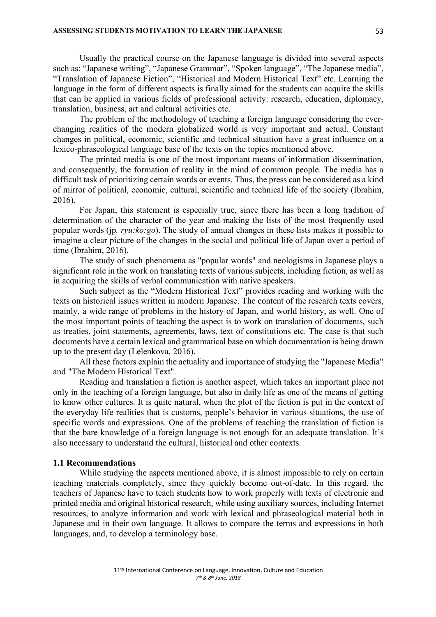Usually the practical course on the Japanese language is divided into several aspects such as: "Japanese writing", "Japanese Grammar", "Spoken language", "The Japanese media", "Translation of Japanese Fiction", "Historical and Modern Historical Text" etc. Learning the language in the form of different aspects is finally aimed for the students can acquire the skills that can be applied in various fields of professional activity: research, education, diplomacy, translation, business, art and cultural activities etc.

The problem of the methodology of teaching a foreign language considering the everchanging realities of the modern globalized world is very important and actual. Constant changes in political, economic, scientific and technical situation have a great influence on a lexico-phraseological language base of the texts on the topics mentioned above.

The printed media is one of the most important means of information dissemination, and consequently, the formation of reality in the mind of common people. The media has a difficult task of prioritizing certain words or events. Thus, the press can be considered as a kind of mirror of political, economic, cultural, scientific and technical life of the society (Ibrahim, 2016).

For Japan, this statement is especially true, since there has been a long tradition of determination of the character of the year and making the lists of the most frequently used popular words (jp*. ryu:ko:go*). The study of annual changes in these lists makes it possible to imagine a clear picture of the changes in the social and political life of Japan over a period of time (Ibrahim, 2016).

The study of such phenomena as "popular words" and neologisms in Japanese plays a significant role in the work on translating texts of various subjects, including fiction, as well as in acquiring the skills of verbal communication with native speakers.

Such subject as the "Modern Historical Text" provides reading and working with the texts on historical issues written in modern Japanese. The content of the research texts covers, mainly, a wide range of problems in the history of Japan, and world history, as well. One of the most important points of teaching the aspect is to work on translation of documents, such as treaties, joint statements, agreements, laws, text of constitutions etc. The case is that such documents have a certain lexical and grammatical base on which documentation is being drawn up to the present day (Lelenkova, 2016).

All these factors explain the actuality and importance of studying the "Japanese Media" and "The Modern Historical Text".

Reading and translation a fiction is another aspect, which takes an important place not only in the teaching of a foreign language, but also in daily life as one of the means of getting to know other cultures. It is quite natural, when the plot of the fiction is put in the context of the everyday life realities that is customs, people's behavior in various situations, the use of specific words and expressions. One of the problems of teaching the translation of fiction is that the bare knowledge of a foreign language is not enough for an adequate translation. It's also necessary to understand the cultural, historical and other contexts.

### **1.1 Recommendations**

While studying the aspects mentioned above, it is almost impossible to rely on certain teaching materials completely, since they quickly become out-of-date. In this regard, the teachers of Japanese have to teach students how to work properly with texts of electronic and printed media and original historical research, while using auxiliary sources, including Internet resources, to analyze information and work with lexical and phraseological material both in Japanese and in their own language. It allows to compare the terms and expressions in both languages, and, to develop a terminology base.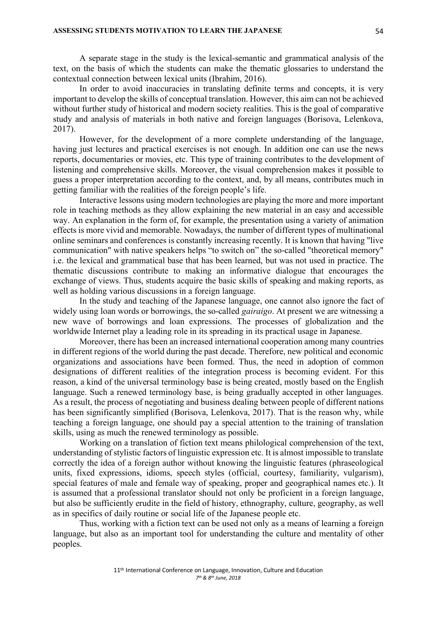A separate stage in the study is the lexical-semantic and grammatical analysis of the text, on the basis of which the students can make the thematic glossaries to understand the contextual connection between lexical units (Ibrahim, 2016).

In order to avoid inaccuracies in translating definite terms and concepts, it is very important to develop the skills of conceptual translation. However, this aim can not be achieved without further study of historical and modern society realities. This is the goal of comparative study and analysis of materials in both native and foreign languages (Borisova, Lelenkova, 2017).

However, for the development of a more complete understanding of the language, having just lectures and practical exercises is not enough. In addition one can use the news reports, documentaries or movies, etc. This type of training contributes to the development of listening and comprehensive skills. Moreover, the visual comprehension makes it possible to guess a proper interpretation according to the context, and, by all means, contributes much in getting familiar with the realities of the foreign people's life.

Interactive lessons using modern technologies are playing the more and more important role in teaching methods as they allow explaining the new material in an easy and accessible way. An explanation in the form of, for example, the presentation using a variety of animation effects is more vivid and memorable. Nowadays, the number of different types of multinational online seminars and conferences is constantly increasing recently. It is known that having "live communication" with native speakers helps "to switch on" the so-called "theoretical memory" i.e. the lexical and grammatical base that has been learned, but was not used in practice. The thematic discussions contribute to making an informative dialogue that encourages the exchange of views. Thus, students acquire the basic skills of speaking and making reports, as well as holding various discussions in a foreign language.

In the study and teaching of the Japanese language, one cannot also ignore the fact of widely using loan words or borrowings, the so-called *gairaigo*. At present we are witnessing a new wave of borrowings and loan expressions. The processes of globalization and the worldwide Internet play a leading role in its spreading in its practical usage in Japanese.

Moreover, there has been an increased international cooperation among many countries in different regions of the world during the past decade. Therefore, new political and economic organizations and associations have been formed. Thus, the need in adoption of common designations of different realities of the integration process is becoming evident. For this reason, a kind of the universal terminology base is being created, mostly based on the English language. Such a renewed terminology base, is being gradually accepted in other languages. As a result, the process of negotiating and business dealing between people of different nations has been significantly simplified (Borisova, Lelenkova, 2017). That is the reason why, while teaching a foreign language, one should pay a special attention to the training of translation skills, using as much the renewed terminology as possible.

Working on a translation of fiction text means philological comprehension of the text, understanding of stylistic factors of linguistic expression etc. It is almost impossible to translate correctly the idea of a foreign author without knowing the linguistic features (phraseological units, fixed expressions, idioms, speech styles (official, courtesy, familiarity, vulgarism), special features of male and female way of speaking, proper and geographical names etc.). It is assumed that a professional translator should not only be proficient in a foreign language, but also be sufficiently erudite in the field of history, ethnography, culture, geography, as well as in specifics of daily routine or social life of the Japanese people etc.

Thus, working with a fiction text can be used not only as a means of learning a foreign language, but also as an important tool for understanding the culture and mentality of other peoples.